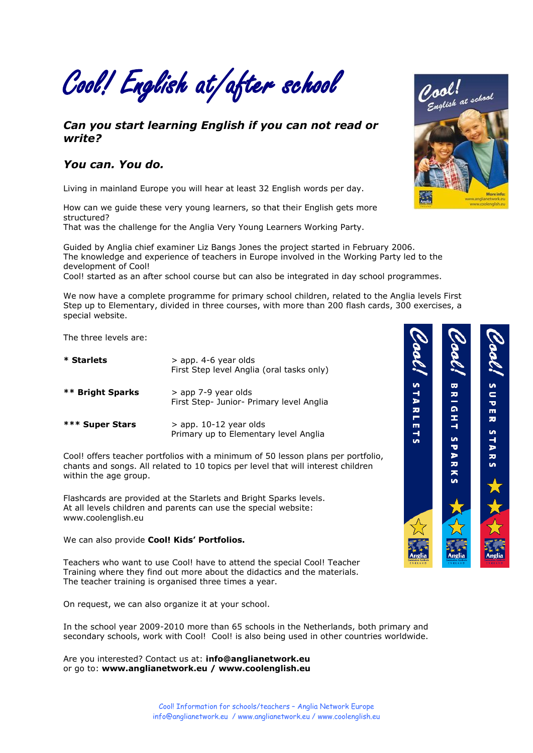Cool! English at/after school

#### *Can you start learning English if you can not read or write?*

#### *You can. You do.*

Living in mainland Europe you will hear at least 32 English words per day.

How can we guide these very young learners, so that their English gets more structured?

That was the challenge for the Anglia Very Young Learners Working Party.

Guided by Anglia chief examiner Liz Bangs Jones the project started in February 2006. The knowledge and experience of teachers in Europe involved in the Working Party led to the development of Cool!

Cool! started as an after school course but can also be integrated in day school programmes.

We now have a complete programme for primary school children, related to the Anglia levels First Step up to Elementary, divided in three courses, with more than 200 flash cards, 300 exercises, a special website.

The three levels are:

| * Starlets              | $>$ app. 4-6 year olds<br>First Step level Anglia (oral tasks only) |  |
|-------------------------|---------------------------------------------------------------------|--|
| <b>** Bright Sparks</b> | > app 7-9 year olds<br>First Step- Junior- Primary level Anglia     |  |
| *** Super Stars         | $>$ app. 10-12 year olds<br>Primary up to Elementary level Anglia   |  |

Cool! offers teacher portfolios with a minimum of 50 lesson plans per portfolio, chants and songs. All related to 10 topics per level that will interest children within the age group.

Flashcards are provided at the Starlets and Bright Sparks levels. At all levels children and parents can use the special website: [www.coolenglish.eu](http://www.coolenglish.eu/)

#### We can also provide **Cool! Kids' Portfolios.**

Teachers who want to use Cool! have to attend the special Cool! Teacher Training where they find out more about the didactics and the materials. The teacher training is organised three times a year.

On request, we can also organize it at your school.

In the school year 2009-2010 more than 65 schools in the Netherlands, both primary and secondary schools, work with Cool! Cool! is also being used in other countries worldwide.

Are you interested? Contact us at: **[info@anglianetwork.eu](mailto:info@anglianetwork.eu)** or go to: **[www.anglianetwork.eu](http://www.anglianetwork.eu/) / [www.coolenglish.eu](http://www.coolenglish.eu/)**



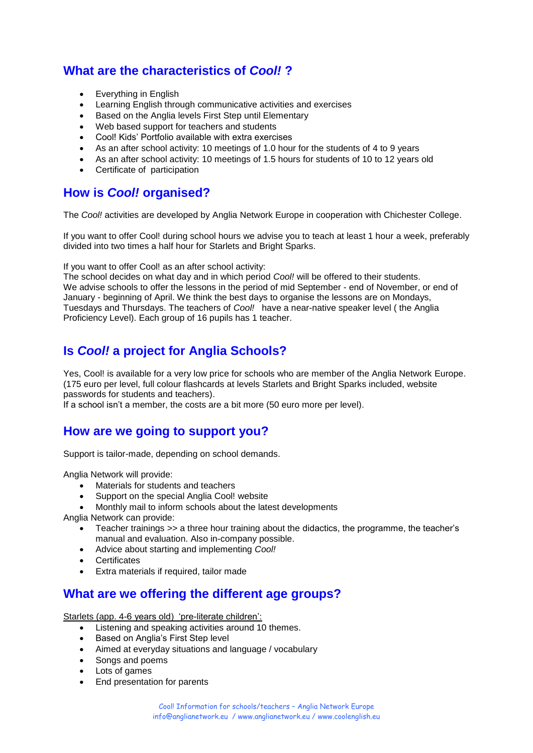# **What are the characteristics of** *Cool!* **?**

- Everything in English
- Learning English through communicative activities and exercises
- Based on the Anglia levels First Step until Elementary
- Web based support for teachers and students
- Cool! Kids" Portfolio available with extra exercises
- As an after school activity: 10 meetings of 1.0 hour for the students of 4 to 9 years
- As an after school activity: 10 meetings of 1.5 hours for students of 10 to 12 years old
- Certificate of participation

## **How is** *Cool!* **organised?**

The *Cool!* activities are developed by Anglia Network Europe in cooperation with Chichester College.

If you want to offer Cool! during school hours we advise you to teach at least 1 hour a week, preferably divided into two times a half hour for Starlets and Bright Sparks.

If you want to offer Cool! as an after school activity:

The school decides on what day and in which period *Cool!* will be offered to their students. We advise schools to offer the lessons in the period of mid September - end of November, or end of January - beginning of April. We think the best days to organise the lessons are on Mondays, Tuesdays and Thursdays. The teachers of *Cool!* have a near-native speaker level ( the Anglia Proficiency Level). Each group of 16 pupils has 1 teacher.

## **Is** *Cool!* **a project for Anglia Schools?**

Yes, Cool! is available for a very low price for schools who are member of the Anglia Network Europe. (175 euro per level, full colour flashcards at levels Starlets and Bright Sparks included, website passwords for students and teachers).

If a school isn"t a member, the costs are a bit more (50 euro more per level).

## **How are we going to support you?**

Support is tailor-made, depending on school demands.

Anglia Network will provide:

- Materials for students and teachers
- Support on the special Anglia Cool! website
- Monthly mail to inform schools about the latest developments

Anglia Network can provide:

- Teacher trainings >> a three hour training about the didactics, the programme, the teacher's manual and evaluation. Also in-company possible.
- Advice about starting and implementing *Cool!*
- Certificates
- Extra materials if required, tailor made

#### **What are we offering the different age groups?**

Starlets (app. 4-6 years old) 'pre-literate children':

- Listening and speaking activities around 10 themes.
- Based on Anglia's First Step level
- Aimed at everyday situations and language / vocabulary
- Songs and poems
- Lots of games
- End presentation for parents